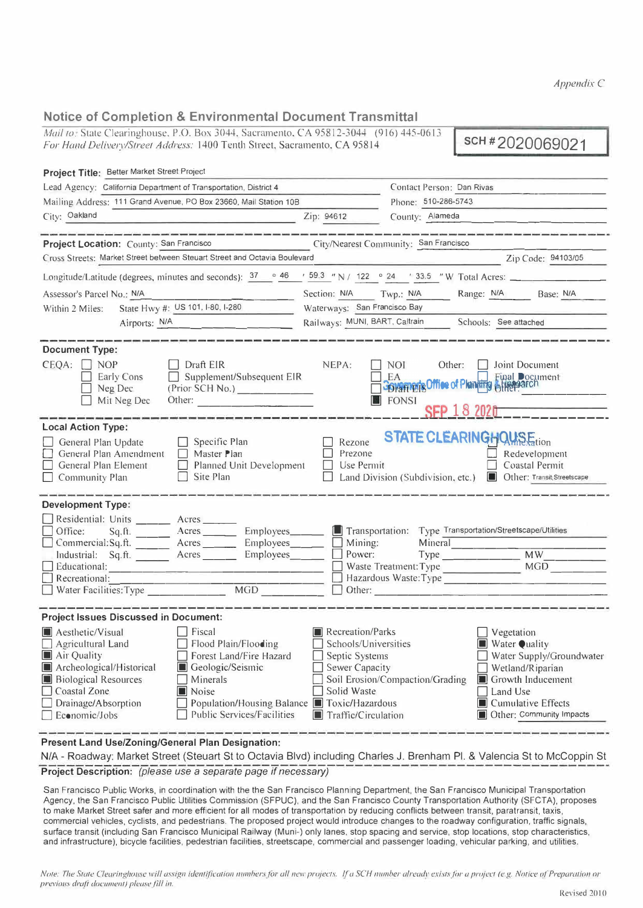*Appendix C* 

# **Notice of Completion & Environmental Document Transmittal**

*Mail to* State Clearinghouse. P.O. Box 3044. Sacramento. CA 95812-3044 (916) 445-0613 **For Hand Delivery/Street Address: 1400 Tenth Street, Sacramento, CA 95812-3044** (916) 445-0613<br>*For Hand Delivery/Street Address: 1400 Tenth Street, Sacramento, CA 95814* (916) 445-0613 **SCH # 2020069021** 

\_

| Project Title: Better Market Street Project                                                                                                                                                                                                                                                                        |                                                                                                                                                                                                                                                                                                                                                                                                                              |  |  |  |
|--------------------------------------------------------------------------------------------------------------------------------------------------------------------------------------------------------------------------------------------------------------------------------------------------------------------|------------------------------------------------------------------------------------------------------------------------------------------------------------------------------------------------------------------------------------------------------------------------------------------------------------------------------------------------------------------------------------------------------------------------------|--|--|--|
| Lead Agency: California Department of Transportation, District 4                                                                                                                                                                                                                                                   | Contact Person: Dan Rivas                                                                                                                                                                                                                                                                                                                                                                                                    |  |  |  |
| Mailing Address: 111 Grand Avenue, PO Box 23660, Mail Station 10B                                                                                                                                                                                                                                                  | Phone: 510-286-5743                                                                                                                                                                                                                                                                                                                                                                                                          |  |  |  |
| City: Oakland                                                                                                                                                                                                                                                                                                      | County: Alameda<br>Zip: 94612                                                                                                                                                                                                                                                                                                                                                                                                |  |  |  |
|                                                                                                                                                                                                                                                                                                                    |                                                                                                                                                                                                                                                                                                                                                                                                                              |  |  |  |
| Project Location: County: San Francisco                                                                                                                                                                                                                                                                            | City/Nearest Community: San Francisco                                                                                                                                                                                                                                                                                                                                                                                        |  |  |  |
| Cross Streets: Market Street between Steuart Street and Octavia Boulevard                                                                                                                                                                                                                                          | Zip Code: 94103/05                                                                                                                                                                                                                                                                                                                                                                                                           |  |  |  |
|                                                                                                                                                                                                                                                                                                                    | Longitude/Latitude (degrees, minutes and seconds): $\frac{37}{10}$ $\frac{46}{159.3}$ "N / 122 $\degree$ 24 ' 33.5 "W Total Acres:                                                                                                                                                                                                                                                                                           |  |  |  |
| Assessor's Parcel No.: N/A                                                                                                                                                                                                                                                                                         | Section: N/A Twp.: N/A Range: N/A Base: N/A                                                                                                                                                                                                                                                                                                                                                                                  |  |  |  |
| State Hwy #: US 101, I-80, I-280<br>Within 2 Miles:                                                                                                                                                                                                                                                                | Waterways: San Francisco Bay                                                                                                                                                                                                                                                                                                                                                                                                 |  |  |  |
| Airports: N/A                                                                                                                                                                                                                                                                                                      | Railways: MUNI, BART, Caltrain Schools: See attached                                                                                                                                                                                                                                                                                                                                                                         |  |  |  |
| <b>Document Type:</b><br>$CEQA: \Box NOP$<br>Draft EIR<br>$\Box$ Supplement/Subsequent EIR<br>Early Cons<br>Neg Dec<br>(Prior SCH No.)<br>Mit Neg Dec<br>Other:                                                                                                                                                    | NEPA:<br>NOI 11<br>Joint Document<br>Other:<br>EA<br>Final Document<br>Spramer's Office of Planting SHeep arch<br>FONSI<br><b>SEP 18 2020</b>                                                                                                                                                                                                                                                                                |  |  |  |
| <b>Local Action Type:</b><br>General Plan Update<br>$\Box$ Specific Plan<br>General Plan Amendment<br>Master Plan<br>Planned Unit Development<br>General Plan Element<br>Community Plan<br>Site Plan                                                                                                               | <b>STATE CLEARINGHOUSE</b><br>Rezone<br>Prezone<br>Redevelopment<br>Use Permit<br>Coastal Permit<br>Land Division (Subdivision, etc.)<br>Other: Transit, Streetscape                                                                                                                                                                                                                                                         |  |  |  |
| <b>Development Type:</b>                                                                                                                                                                                                                                                                                           |                                                                                                                                                                                                                                                                                                                                                                                                                              |  |  |  |
| Residential: Units _______ Acres _____<br>Employees_<br>$\Box$ Office:<br>$Sq.A.$ Acres<br>Employees<br>Commercial:Sq.ft.<br>$A$ cres $\_\_$<br>Acres ____<br>Employees<br>Industrial: Sq.ft.<br>Educational:<br>Recreational:<br>Water Facilities: Type                                                           | Transportation:<br>Type Transportation/Streetscape/Utilities<br>Mining:<br>Mineral<br>MW<br>Power:<br>Type _______________<br><b>MGD</b><br>Waste Treatment: Type<br>Hazardous Waste: Type<br>Other: Communication of the Communication of the Communication of the Communication of the Communication of the Communication of the Communication of the Communication of the Communication of the Communication of the Commu |  |  |  |
| <b>Project Issues Discussed in Document:</b>                                                                                                                                                                                                                                                                       |                                                                                                                                                                                                                                                                                                                                                                                                                              |  |  |  |
| Aesthetic/Visual<br>Fiscal<br>Flood Plain/Flooding<br>Agricultural Land<br>Forest Land/Fire Hazard<br>Air Quality<br>Archeological/Historical<br>Geologic/Seismic<br><b>Biological Resources</b><br>Minerals<br>Coastal Zone<br>Noise<br>Drainage/Absorption<br><b>Public Services/Facilities</b><br>Economic/Jobs | Recreation/Parks<br>Vegetation<br>Schools/Universities<br>Water Quality<br>Water Supply/Groundwater<br>Septic Systems<br>Sewer Capacity<br>Wetland/Riparian<br>Soil Erosion/Compaction/Grading<br>Growth Inducement<br>Solid Waste<br>Land Use<br>Population/Housing Balance ■ Toxic/Hazardous<br>$\Box$ Cumulative Effects<br>$\blacksquare$ Traffic/Circulation<br>Other: Community Impacts                                |  |  |  |
| <b>Present Land Use/Zoning/General Plan Designation:</b><br>N/A - Roadway: Market Street (Steuart St to Octavia Blvd) including Charles J. Brenham Pl. & Valencia St to McCoppin St                                                                                                                                |                                                                                                                                                                                                                                                                                                                                                                                                                              |  |  |  |

**Project Description:** *(please use a separate page if necessary)* 

San Francisco Public Works, in coordination with the the San Francisco Planning Department, the San Francisco Municipal Transportation Agency, the San Francisco Public Utilities Commission (SFPUC), and the San Francisco County Transportation Authority (SFCTA), proposes to make Market Street safer and more efficient for all modes of transportation by reducing conflicts between transit, paratransit, taxis, commercial vehicles, cyclists, and pedestrians. The proposed project would introduce changes to the roadway configuration, traffic signals, surface transit (including San Francisco Municipal Railway (Muni-) only lanes, stop spacing and service, stop locations, stop characteristics, and infrastructure), bicycle facilities, pedestrian facilities, streetscape, commercial and passenger loading, vehicular parking, and utilities.

Note: The State Clearinghouse will assign identification numbers for all new projects. If a SCH number already exists for a project (e.g. Notice of Preparation or previous draft document) please fill in.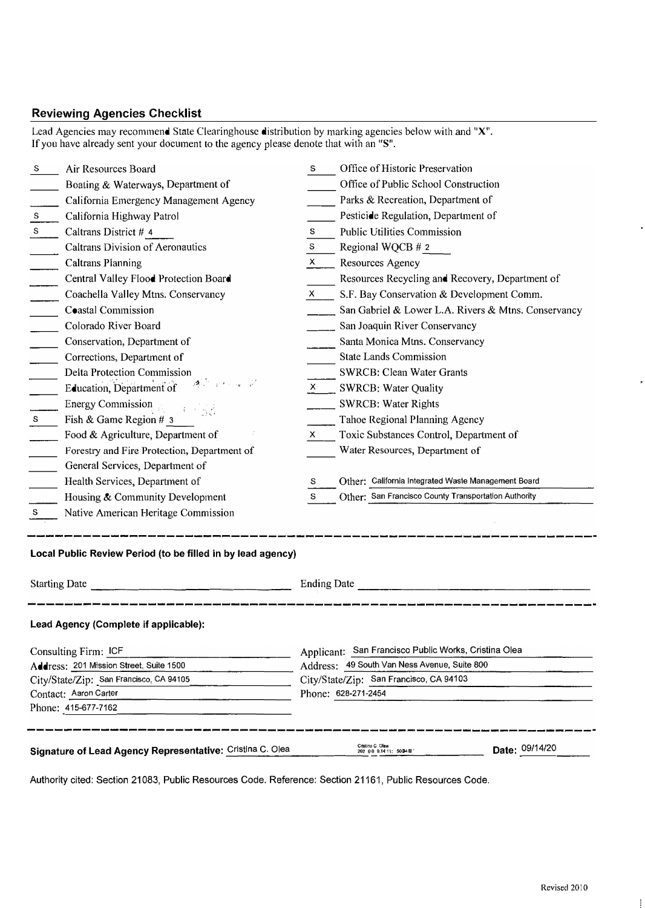# **Reviewing Agencies Checklist**

Lead Agencies may recommend State Clearinghouse distribution by marking agencies below with and "X". lfyou have already sent your document to the agency please denote that with an "S".

| S                                                                                                  | Air Resources Board                                       | S                                                       | Office of Historic Preservation                                |  |  |
|----------------------------------------------------------------------------------------------------|-----------------------------------------------------------|---------------------------------------------------------|----------------------------------------------------------------|--|--|
|                                                                                                    | Boating & Waterways, Department of                        |                                                         | Office of Public School Construction                           |  |  |
|                                                                                                    | California Emergency Management Agency                    |                                                         | Parks & Recreation, Department of                              |  |  |
| ${\bf S}$                                                                                          | California Highway Patrol                                 |                                                         | Pesticide Regulation, Department of                            |  |  |
| $\mathbf S$                                                                                        | Caltrans District # 4                                     | s                                                       | Public Utilities Commission                                    |  |  |
|                                                                                                    | <b>Caltrans Division of Aeronautics</b>                   | S                                                       | Regional WQCB # 2                                              |  |  |
|                                                                                                    | <b>Caltrans Planning</b>                                  | X                                                       | Resources Agency                                               |  |  |
|                                                                                                    | Central Valley Flood Protection Board                     |                                                         | Resources Recycling and Recovery, Department of                |  |  |
|                                                                                                    | Coachella Valley Mtns. Conservancy                        | X.                                                      | S.F. Bay Conservation & Development Comm.                      |  |  |
|                                                                                                    | Coastal Commission                                        |                                                         | San Gabriel & Lower L.A. Rivers & Mtns. Conservancy            |  |  |
|                                                                                                    | Colorado River Board                                      |                                                         | San Joaquin River Conservancy                                  |  |  |
|                                                                                                    | Conservation, Department of                               |                                                         | Santa Monica Mtns. Conservancy                                 |  |  |
|                                                                                                    | Corrections, Department of                                |                                                         | <b>State Lands Commission</b>                                  |  |  |
|                                                                                                    | Delta Protection Commission                               |                                                         | SWRCB: Clean Water Grants                                      |  |  |
|                                                                                                    | Education, Department of                                  |                                                         | $X$ SWRCB: Water Quality                                       |  |  |
|                                                                                                    | <b>Energy Commission</b>                                  |                                                         | <b>SWRCB: Water Rights</b>                                     |  |  |
| S.                                                                                                 | Fish & Game Region # 3                                    |                                                         | Tahoe Regional Planning Agency                                 |  |  |
|                                                                                                    | Food & Agriculture, Department of                         | x.                                                      | Toxic Substances Control, Department of                        |  |  |
|                                                                                                    | Forestry and Fire Protection, Department of               |                                                         | Water Resources, Department of                                 |  |  |
|                                                                                                    | General Services, Department of                           |                                                         |                                                                |  |  |
|                                                                                                    | Health Services, Department of                            | s                                                       | Other: California Integrated Waste Management Board            |  |  |
|                                                                                                    | Housing & Community Development                           | S                                                       | Other: San Francisco County Transportation Authority           |  |  |
| s                                                                                                  | Native American Heritage Commission                       |                                                         |                                                                |  |  |
| Local Public Review Period (to be filled in by lead agency)<br><b>Starting Date</b><br>Ending Date |                                                           |                                                         |                                                                |  |  |
|                                                                                                    |                                                           |                                                         |                                                                |  |  |
|                                                                                                    | Lead Agency (Complete if applicable):                     |                                                         |                                                                |  |  |
| Consulting Firm: ICF                                                                               |                                                           | San Francisco Public Works, Cristina Olea<br>Applicant: |                                                                |  |  |
| Address: 201 Mission Street, Suite 1500                                                            |                                                           | Address: 49 South Van Ness Avenue, Suite 800            |                                                                |  |  |
| City/State/Zip: San Francisco, CA 94105                                                            |                                                           | City/State/Zip: San Francisco, CA 94103                 |                                                                |  |  |
| Contact: Aaron Carter                                                                              |                                                           |                                                         | Phone: 628-271-2454                                            |  |  |
|                                                                                                    | Phone: 415-677-7162                                       |                                                         |                                                                |  |  |
|                                                                                                    | Signature of Lead Agency Representative: Cristina C. Olea |                                                         | Cristina C. Olea<br>Date: 09/14/20<br>202 00 9.14 11: 50 34 00 |  |  |

Authority cited: Section 21083, **Public** Resources Code. Reference: Section 21161, Public Resources Code.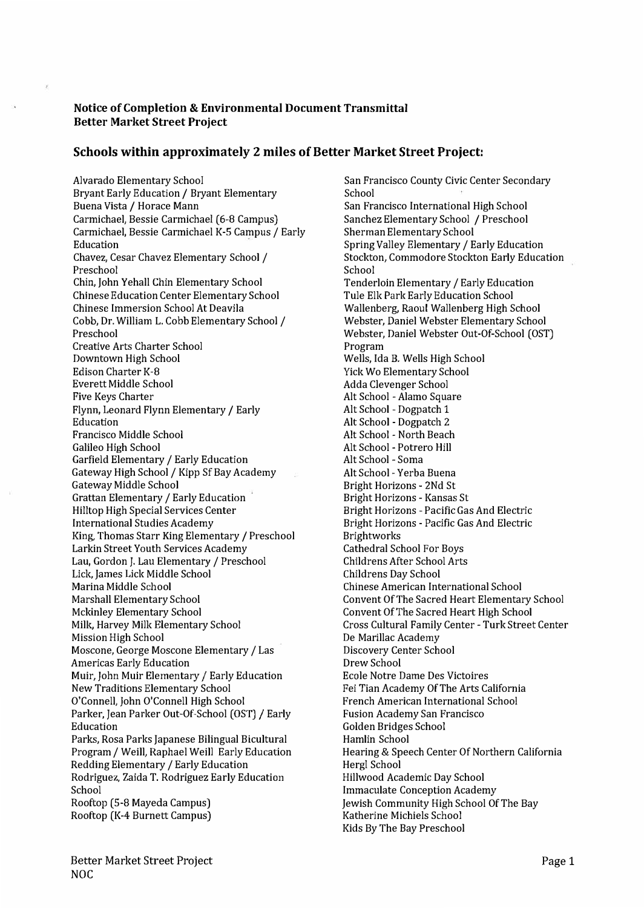### **Notice of Completion & Environmental Document Transmittal Better Market Street Project**

## **Schools within approximately 2 miles of Better Market Street Project:**

Alvarado Elementary School Bryant Early Education / Bryant Elementary Buena Vista/ Horace Mann Carmichael, Bessie Carmichael (6-8 Campus) Carmichael, Bessie Carmichael K-5 Campus/ Early Education Chavez, Cesar Chavez Elementary School / Preschool Chin, John Yehall Chin Elementary School Chinese Education Center Elementary School Chinese Immersion School At Deavila Cobb, Dr. William L. Cobb Elementary School/ Preschool Creative Arts Charter School Downtown High School Edison Charter K-8 Everett Middle School Five Keys Charter Flynn, Leonard Flynn Elementary/ Early Education Francisco Middle School Galileo High School Garfield Elementary/ Early Education Gateway High School / Kipp Sf Bay Academy Gateway Middle School Grattan Elementary/ Early Education Hilltop High Special Services Center International Studies Academy King, Thomas Starr King Elementary/ Preschool Larkin Street Youth Services Academy Lau, Gordon J. Lau Elementary/ Preschool Lick, James Lick Middle School Marina Middle School Marshall Elementary School Mckinley Elementary School Milk, Harvey Milk Elementary School Mission High School Moscone, George Moscone Elementary/ Las Americas Early Education Muir, John Muir Elementary/ Early Education New Traditions Elementary School O'Connell, John O'Connell High School Parker, Jean Parker Out-Of-School (OST)/ Early Education Parks, Rosa Parks Japanese Bilingual Bicultural Program/ Weill, Raphael Weill Early Education Redding Elementary/ Early Education Rodriguez, Zaida T. Rodriguez Early Education School Rooftop (5-8 Mayeda Campus) Rooftop (K-4 Burnett Campus)

San Francisco County Civic Center Secondary School San Francisco International High School Sanchez Elementary School / Preschool Sherman Elementary School Spring Valley Elementary/ Early Education Stockton, Commodore Stockton Early Education School Tenderloin Elementary/ Early Education Tule Elk Park Early Education School Wallenberg, Raoul Wallenberg High School Webster, Daniel Webster Elementary School Webster, Daniel Webster Out-Of-School (OST) Program Wells, Ida B. Wells High School Yick Wo Elementary School Adda Clevenger School Alt School - Alamo Square Alt School - Dogpatch 1 Alt School - Dogpatch 2 Alt School - North Beach Alt School - Potrero Hill Alt School - Soma Alt School - Yerba Buena Bright Horizons - 2Nd St Bright Horizons - Kansas St Bright Horizons - Pacific Gas And Electric Bright Horizons - Pacific Gas And Electric Brightworks Cathedral School For Boys Childrens After School Arts Childrens Day School Chinese American International School Convent Of The Sacred Heart Elementary School Convent Of The Sacred Heart High School Cross Cultural Family Center - Turk Street Center De Marillac Academy Discovery Center School Drew School Ecole Notre Dame Des Victoires Fei Tian Academy Of The Arts California French American International School Fusion Academy San Francisco Golden Bridges School Hamlin School Hearing & Speech Center Of Northern California Hergl School Hillwood Academic Day School Immaculate Conception Academy Jewish Community High School Of The Bay Katherine Michiels School Kids By The Bay Preschool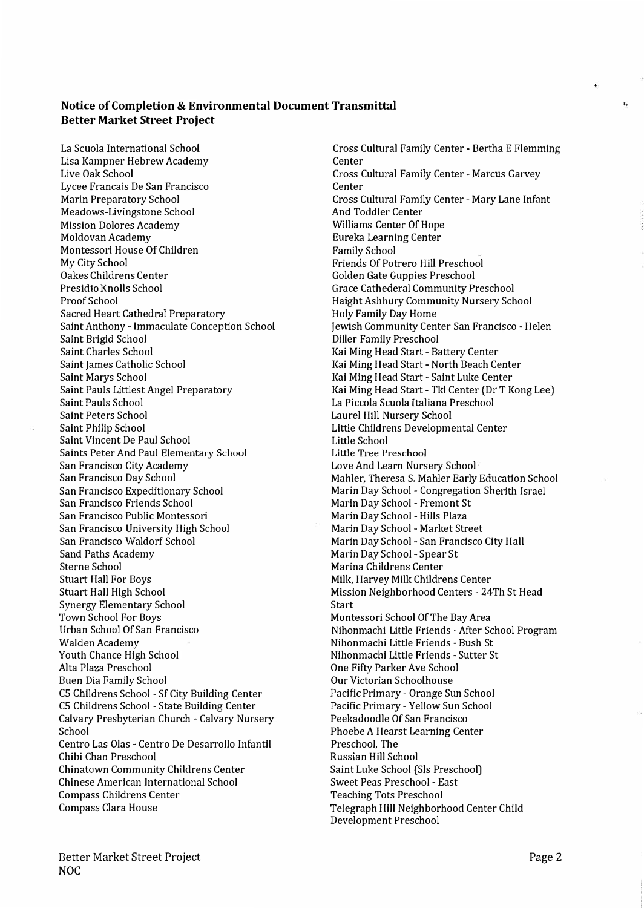#### **Notice of Completion & Environmental Document Transmittal Better Market Street Project**

La Scuola International School Lisa Kampner Hebrew Academy Live Oak School Lycee Francais De San Francisco Marin Preparatory School Meadows-Livingstone School Mission Dolores Academy Moldovan Academy Montessori House Of Children My City School Oakes Childrens Center Presidio Knolls School Proof School Sacred Heart Cathedral Preparatory Saint Anthony - Immaculate Conception School Saint Brigid School Saint Charles School Saint James Catholic School Saint Marys School Saint Pauls Littlest Angel Preparatory Saint Pauls School Saint Peters School Saint Philip School Saint Vincent De Paul School Saints Peter And Paul Elementary School San Francisco City Academy San Francisco Day School San Francisco Expeditionary School San Francisco Friends School San Francisco Public Montessori San Francisco University High School San Francisco Waldorf School Sand Paths Academy Sterne School Stuart Hall For Boys Stuart Hall High School Synergy Elementary School Town School For Boys Urban School Of San Francisco Walden Academy Youth Chance High School Alta Plaza Preschool Buen Dia Family School CS Cbildrens School - Sf City Building Center CS Cbildrens School - State Building Center Calvary Presbyterian Church - Calvary Nursery School Centro Las Olas - Centro De Desarrollo Infantil Chibi Chan Preschool Chinatown Community Childrens Center Chinese American International School Compass Childrens Center Compass Clara House

Cross Cultural Family Center - Bertha E Flemming **Center** Cross Cultural Family Center - Marcus Garvey **Center** Cross Cultural Family Center - Mary Lane Infant And Toddler Center Williams Center Of Hope Eureka Learning Center Family School Friends Of Potrero Hill Preschool Golden Gate Guppies Preschool Grace Cathederal Community Preschool Haight Ashbury Community Nursery School Holy Family Day Home Jewish Community Center San Francisco - Helen Diller Family Preschool Kai Ming Head Start - Battery Center Kai Ming Head Start - North Beach Center Kai Ming Head Start - Saint Luke Center Kai Ming Head Start - Tkl Center (Dr T Kong Lee) La Piccola Scuola ltaliana Preschool Laurel Hill Nursery School Little Childrens Developmental Center Little School **Little Tree Preschool**  Love And Learn Nursery School Mahler, Theresa S. Mahler Early Education School Marin Day School - Congregation Sherith Israel Marin Day School - Fremont St Marin Day School - Hills Plaza Marin Day School - Market Street Marin Day School - San Francisco City Hall Marin Day School - Spear St Marina Childrens Center Milk, Harvey Milk Childrens Center Mission Neighborhood Centers - 24Th St Head Start Montessori School Of The Bay Area Nihonmachi Little Friends -After School Program Nihonmachi Little Friends - Bush St Nihonmachi Little Friends - Sutter St One Fifty Parker *Ave* School Our Victorian Schoolhouse Pacific Primary - Orange Sun School Pacific Primary - Yellow Sun School Peekadoodle Of San Francisco Phoebe A Hearst Learning Center Preschool, The Russian Hill School Saint Luke School (Sis Preschool) Sweet Peas Preschool - East Teaching Tots Preschool Telegraph Hill Neighborhood Center Child Development Preschool